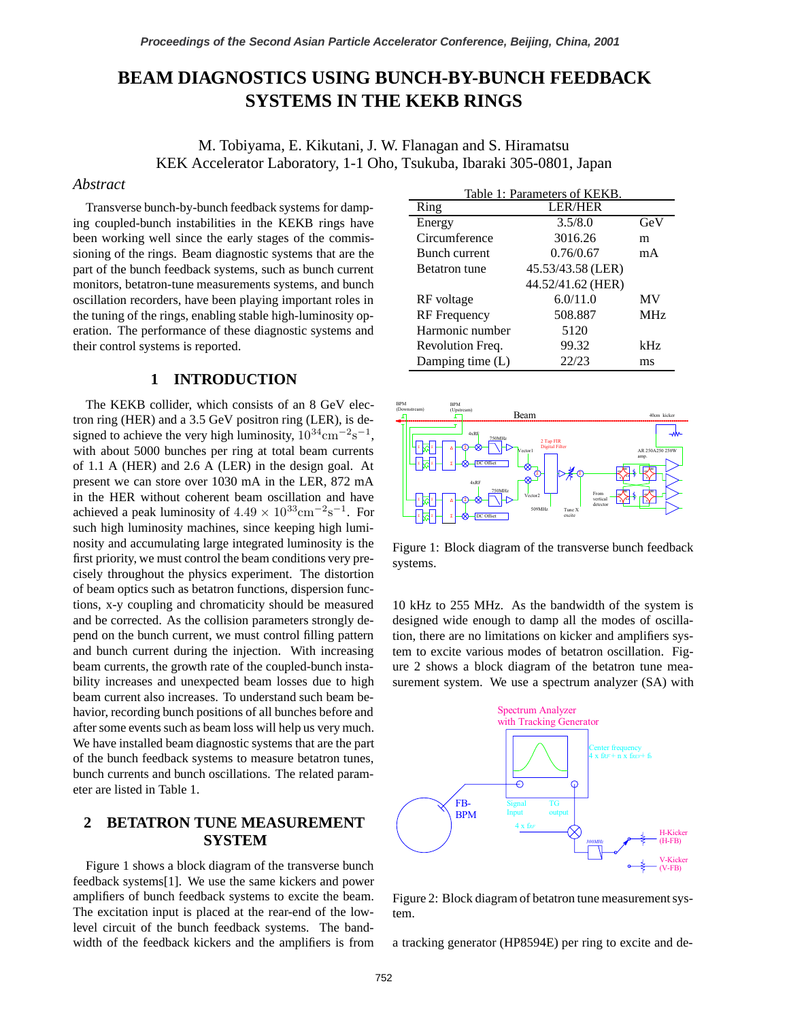# **BEAM DIAGNOSTICS USING BUNCH-BY-BUNCH FEEDBACK SYSTEMS IN THE KEKB RINGS**

M. Tobiyama, E. Kikutani, J. W. Flanagan and S. Hiramatsu KEK Accelerator Laboratory, 1-1 Oho, Tsukuba, Ibaraki 305-0801, Japan

#### *Abstract*

Transverse bunch-by-bunch feedback systems for damping coupled-bunch instabilities in the KEKB rings have been working well since the early stages of the commissioning of the rings. Beam diagnostic systems that are the part of the bunch feedback systems, such as bunch current monitors, betatron-tune measurements systems, and bunch oscillation recorders, have been playing important roles in the tuning of the rings, enabling stable high-luminosity operation. The performance of these diagnostic systems and their control systems is reported.

## **1 INTRODUCTION**

The KEKB collider, which consists of an 8 GeV electron ring (HER) and a 3.5 GeV positron ring (LER), is designed to achieve the very high luminosity,  $10^{34}$ cm<sup>-2</sup>s<sup>-1</sup>, with about 5000 bunches per ring at total beam currents of 1.1 A (HER) and 2.6 A (LER) in the design goal. At present we can store over 1030 mA in the LER, 872 mA in the HER without coherent beam oscillation and have achieved a peak luminosity of  $4.49 \times 10^{33}$ cm<sup>-2</sup>s<sup>-1</sup>. For such high luminosity machines, since keeping high luminosity and accumulating large integrated luminosity is the first priority, we must control the beam conditions very precisely throughout the physics experiment. The distortion of beam optics such as betatron functions, dispersion functions, x-y coupling and chromaticity should be measured and be corrected. As the collision parameters strongly depend on the bunch current, we must control filling pattern and bunch current during the injection. With increasing beam currents, the growth rate of the coupled-bunch instability increases and unexpected beam losses due to high beam current also increases. To understand such beam behavior, recording bunch positions of all bunches before and after some events such as beam loss will help us very much. We have installed beam diagnostic systems that are the part of the bunch feedback systems to measure betatron tunes, bunch currents and bunch oscillations. The related parameter are listed in Table 1.

# **2 BETATRON TUNE MEASUREMENT SYSTEM**

Figure 1 shows a block diagram of the transverse bunch feedback systems[1]. We use the same kickers and power amplifiers of bunch feedback systems to excite the beam. The excitation input is placed at the rear-end of the lowlevel circuit of the bunch feedback systems. The bandwidth of the feedback kickers and the amplifiers is from

| Table 1: Parameters of KEKB. |                   |                 |
|------------------------------|-------------------|-----------------|
| Ring                         | <b>LER/HER</b>    |                 |
| Energy                       | 3.5/8.0           | GeV             |
| Circumference                | 3016.26           | m               |
| Bunch current                | 0.76/0.67         | mA              |
| <b>Betatron</b> tune         | 45.53/43.58 (LER) |                 |
|                              | 44.52/41.62 (HER) |                 |
| RF voltage                   | 6.0/11.0          | MV              |
| <b>RF</b> Frequency          | 508.887           | MH <sub>z</sub> |
| Harmonic number              | 5120              |                 |
| Revolution Freq.             | 99.32             | kHz             |
| Damping time (L)             | 22/23             | ms              |



Figure 1: Block diagram of the transverse bunch feedback systems.

10 kHz to 255 MHz. As the bandwidth of the system is designed wide enough to damp all the modes of oscillation, there are no limitations on kicker and amplifiers system to excite various modes of betatron oscillation. Figure 2 shows a block diagram of the betatron tune measurement system. We use a spectrum analyzer (SA) with



Figure 2: Block diagram of betatron tune measurement system.

a tracking generator (HP8594E) per ring to excite and de-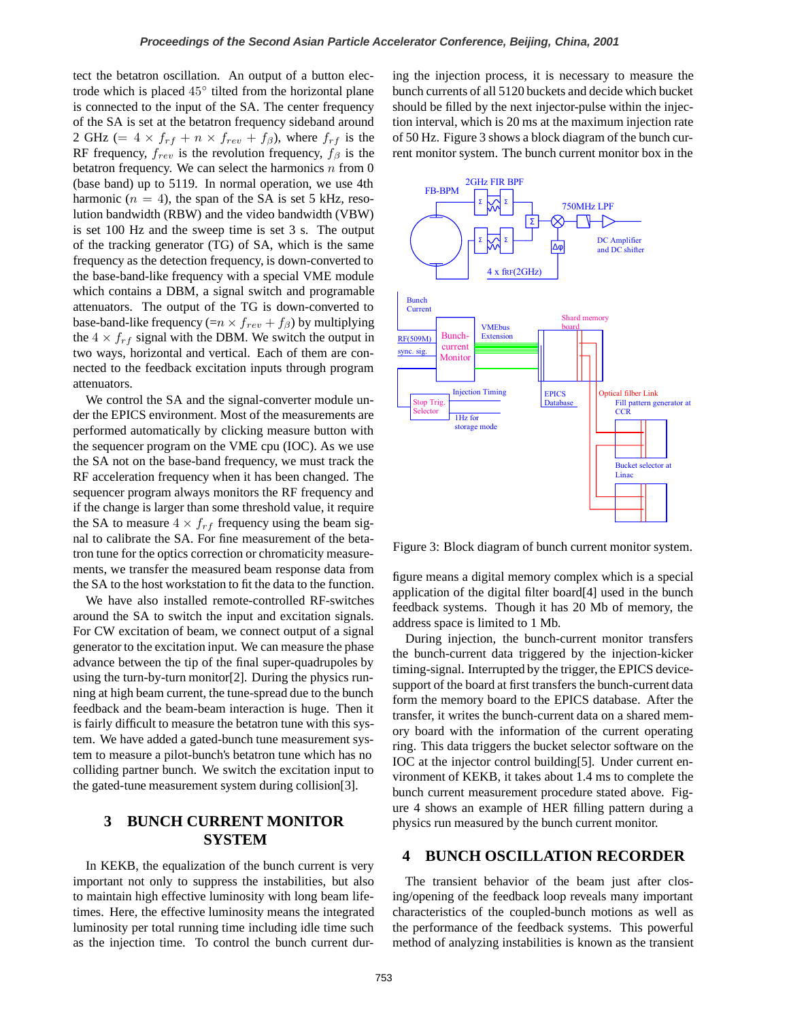tect the betatron oscillation. An output of a button electrode which is placed 45◦ tilted from the horizontal plane is connected to the input of the SA. The center frequency of the SA is set at the betatron frequency sideband around 2 GHz (=  $4 \times f_{rf} + n \times f_{rev} + f_{\beta}$ ), where  $f_{rf}$  is the RF frequency,  $f_{rev}$  is the revolution frequency,  $f_\beta$  is the betatron frequency. We can select the harmonics  $n$  from 0 (base band) up to 5119. In normal operation, we use 4th harmonic  $(n = 4)$ , the span of the SA is set 5 kHz, resolution bandwidth (RBW) and the video bandwidth (VBW) is set 100 Hz and the sweep time is set 3 s. The output of the tracking generator (TG) of SA, which is the same frequency as the detection frequency, is down-converted to the base-band-like frequency with a special VME module which contains a DBM, a signal switch and programable attenuators. The output of the TG is down-converted to base-band-like frequency (= $n \times f_{rev} + f_{\beta}$ ) by multiplying the  $4 \times f_{rf}$  signal with the DBM. We switch the output in two ways, horizontal and vertical. Each of them are connected to the feedback excitation inputs through program attenuators.

We control the SA and the signal-converter module under the EPICS environment. Most of the measurements are performed automatically by clicking measure button with the sequencer program on the VME cpu (IOC). As we use the SA not on the base-band frequency, we must track the RF acceleration frequency when it has been changed. The sequencer program always monitors the RF frequency and if the change is larger than some threshold value, it require the SA to measure  $4 \times f_{rf}$  frequency using the beam signal to calibrate the SA. For fine measurement of the betatron tune for the optics correction or chromaticity measurements, we transfer the measured beam response data from the SA to the host workstation to fit the data to the function.

We have also installed remote-controlled RF-switches around the SA to switch the input and excitation signals. For CW excitation of beam, we connect output of a signal generator to the excitation input. We can measure the phase advance between the tip of the final super-quadrupoles by using the turn-by-turn monitor[2]. During the physics running at high beam current, the tune-spread due to the bunch feedback and the beam-beam interaction is huge. Then it is fairly difficult to measure the betatron tune with this system. We have added a gated-bunch tune measurement system to measure a pilot-bunch's betatron tune which has no colliding partner bunch. We switch the excitation input to the gated-tune measurement system during collision[3].

## **3 BUNCH CURRENT MONITOR SYSTEM**

In KEKB, the equalization of the bunch current is very important not only to suppress the instabilities, but also to maintain high effective luminosity with long beam lifetimes. Here, the effective luminosity means the integrated luminosity per total running time including idle time such as the injection time. To control the bunch current during the injection process, it is necessary to measure the bunch currents of all 5120 buckets and decide which bucket should be filled by the next injector-pulse within the injection interval, which is 20 ms at the maximum injection rate of 50 Hz. Figure 3 shows a block diagram of the bunch current monitor system. The bunch current monitor box in the



Figure 3: Block diagram of bunch current monitor system.

figure means a digital memory complex which is a special application of the digital filter board[4] used in the bunch feedback systems. Though it has 20 Mb of memory, the address space is limited to 1 Mb.

During injection, the bunch-current monitor transfers the bunch-current data triggered by the injection-kicker timing-signal. Interrupted by the trigger, the EPICS devicesupport of the board at first transfers the bunch-current data form the memory board to the EPICS database. After the transfer, it writes the bunch-current data on a shared memory board with the information of the current operating ring. This data triggers the bucket selector software on the IOC at the injector control building[5]. Under current environment of KEKB, it takes about 1.4 ms to complete the bunch current measurement procedure stated above. Figure 4 shows an example of HER filling pattern during a physics run measured by the bunch current monitor.

### **4 BUNCH OSCILLATION RECORDER**

The transient behavior of the beam just after closing/opening of the feedback loop reveals many important characteristics of the coupled-bunch motions as well as the performance of the feedback systems. This powerful method of analyzing instabilities is known as the transient